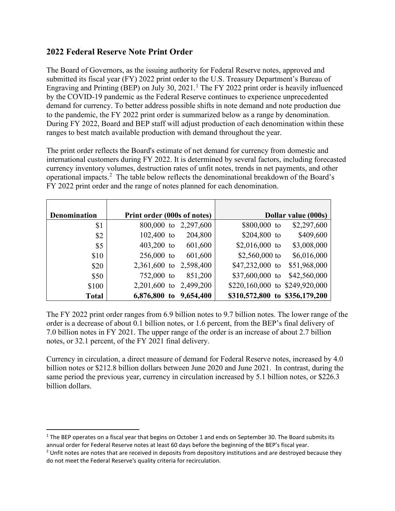## **2022 Federal Reserve Note Print Order**

The Board of Governors, as the issuing authority for Federal Reserve notes, approved and submitted its fiscal year (FY) 2022 print order to the U.S. Treasury Department's Bureau of Engraving and Printing (BEP) on July 30, 202[1](#page-0-0).<sup>1</sup> The FY 2022 print order is heavily influenced by the COVID-19 pandemic as the Federal Reserve continues to experience unprecedented demand for currency. To better address possible shifts in note demand and note production due to the pandemic, the FY 2022 print order is summarized below as a range by denomination. During FY 2022, Board and BEP staff will adjust production of each denomination within these ranges to best match available production with demand throughout the year.

The print order reflects the Board's estimate of net demand for currency from domestic and international customers during FY 2022. It is determined by several factors, including forecasted currency inventory volumes, destruction rates of unfit notes, trends in net payments, and other operational impacts. [2](#page-0-1) The table below reflects the denominational breakdown of the Board's FY 2022 print order and the range of notes planned for each denomination.

| <b>Denomination</b> | Print order (000s of notes) | Dollar value (000s)              |
|---------------------|-----------------------------|----------------------------------|
| \$1                 | 800,000 to<br>2,297,600     | \$2,297,600<br>\$800,000 to      |
| \$2                 | $102,400$ to<br>204,800     | \$204,800 to<br>\$409,600        |
| \$5                 | $403,200$ to<br>601,600     | $$2,016,000$ to<br>\$3,008,000   |
| \$10                | $256,000$ to<br>601,600     | \$2,560,000 to<br>\$6,016,000    |
| \$20                | 2,361,600 to<br>2,598,400   | $$47,232,000$ to<br>\$51,968,000 |
| \$50                | $752,000$ to<br>851,200     | $$37,600,000$ to<br>\$42,560,000 |
| \$100               | 2,499,200<br>$2,201,600$ to | \$220,160,000 to \$249,920,000   |
| <b>Total</b>        | 6,876,800 to<br>9,654,400   | \$310,572,800 to \$356,179,200   |

The FY 2022 print order ranges from 6.9 billion notes to 9.7 billion notes. The lower range of the order is a decrease of about 0.1 billion notes, or 1.6 percent, from the BEP's final delivery of 7.0 billion notes in FY 2021. The upper range of the order is an increase of about 2.7 billion notes, or 32.1 percent, of the FY 2021 final delivery.

Currency in circulation, a direct measure of demand for Federal Reserve notes, increased by 4.0 billion notes or \$212.8 billion dollars between June 2020 and June 2021. In contrast, during the same period the previous year, currency in circulation increased by 5.1 billion notes, or \$226.3 billion dollars.

<span id="page-0-0"></span> $1$  The BEP operates on a fiscal year that begins on October 1 and ends on September 30. The Board submits its annual order for Federal Reserve notes at least 60 days before the beginning of the BEP's fiscal year.

<span id="page-0-1"></span> $2$  Unfit notes are notes that are received in deposits from depository institutions and are destroyed because they do not meet the Federal Reserve's quality criteria for recirculation.